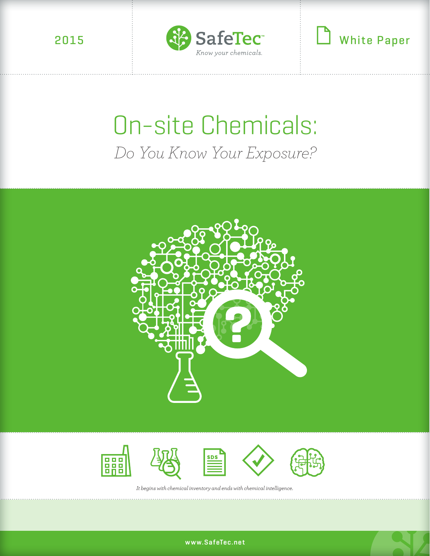

White Paper

# On-site Chemicals: *Do You Know Your Exposure?*





*It begins with chemical inventory and ends with chemical intelligence.*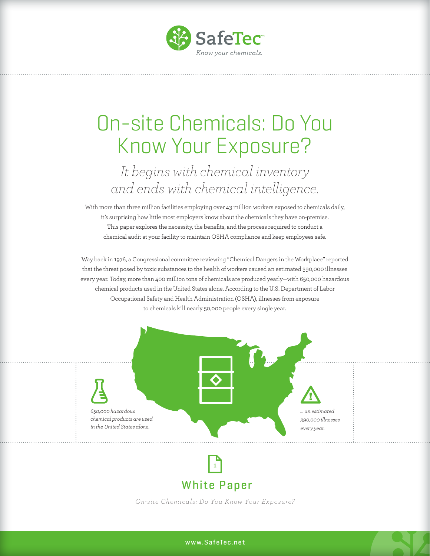

## On-site Chemicals: Do You Know Your Exposure?

### *It begins with chemical inventory and ends with chemical intelligence.*

With more than three million facilities employing over 43 million workers exposed to chemicals daily, it's surprising how little most employers know about the chemicals they have on-premise. This paper explores the necessity, the benefits, and the process required to conduct a chemical audit at your facility to maintain OSHA compliance and keep employees safe.

Way back in 1976, a Congressional committee reviewing "Chemical Dangers in the Workplace" reported that the threat posed by toxic substances to the health of workers caused an estimated 390,000 illnesses every year. Today, more than 400 million tons of chemicals are produced yearly—with 650,000 hazardous chemical products used in the United States alone. According to the U.S. Department of Labor Occupational Safety and Health Administration (OSHA), illnesses from exposure to chemicals kill nearly 50,000 people every single year.





White Paper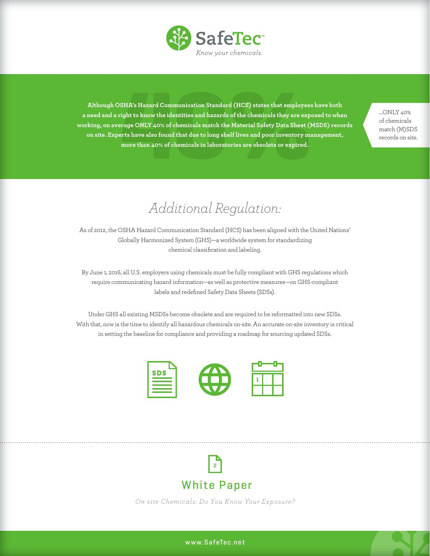

**Although OSHA's Hazard Communication Standard (HCS) states that employees have both a need and a right to know the identities and hazards of the chemicals they are exposed to when working, on average ONLY 40% of chemicals match the Material Safety Data Sheet (MSDS) records on site. Experts have also found that due to long shelf lives and poor inventory management, more than 40% of chemicals in laboratories are obsolete or expired.** 

…ONLY 40% of chemicals match (M)SDS records on site.

### *Additional Regulation:*

As of 2012, the OSHA Hazard Communication Standard (HCS) has been aligned with the United Nations' Globally Harmonized System (GHS)—a worldwide system for standardizing chemical classification and labeling.

By June 1, 2016, all U.S. employers using chemicals must be fully compliant with GHS regulations which require communicating hazard information—as well as protective measures—on GHS-compliant labels and redefined Safety Data Sheets (SDSs).

Under GHS all existing MSDSs become obsolete and are required to be reformatted into new SDSs. With that, now is the time to identify all hazardous chemicals on-site. An accurate on-site inventory is critical in setting the baseline for compliance and providing a roadmap for sourcing updated SDSs.



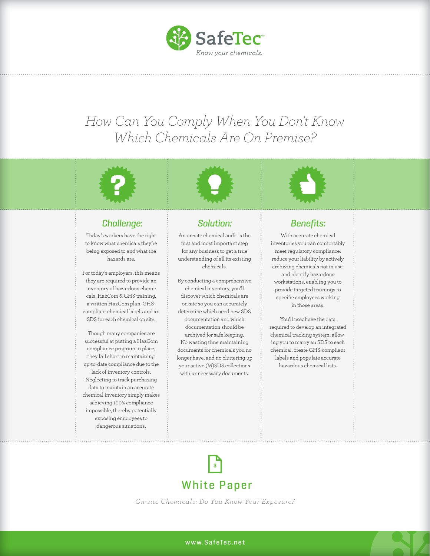

### *How Can You Comply When You Don't Know Which Chemicals Are On Premise?*





#### Challenge:

Today's workers have the right to know what chemicals they're being exposed to and what the hazards are.

For today's employers, this means they are required to provide an inventory of hazardous chemicals, HazCom & GHS training, a written HazCom plan, GHScompliant chemical labels and an SDS for each chemical on site.

Though many companies are successful at putting a HazCom compliance program in place, they fall short in maintaining up-to-date compliance due to the lack of inventory controls. Neglecting to track purchasing data to maintain an accurate chemical inventory simply makes achieving 100% compliance impossible, thereby potentially exposing employees to dangerous situations.

#### Solution:

An on-site chemical audit is the first and most important step for any business to get a true understanding of all its existing chemicals.

By conducting a comprehensive chemical inventory, you'll discover which chemicals are on site so you can accurately determine which need new SDS documentation and which documentation should be archived for safe keeping. No wasting time maintaining documents for chemicals you no longer have, and no cluttering up your active (M)SDS collections with unnecessary documents.



#### Benefits:

With accurate chemical inventories you can comfortably meet regulatory compliance, reduce your liability by actively archiving chemicals not in use, and identify hazardous workstations, enabling you to provide targeted trainings to specific employees working in those areas.

You'll now have the data required to develop an integrated chemical tracking system; allowing you to marry an SDS to each chemical, create GHS-compliant labels and populate accurate hazardous chemical lists.

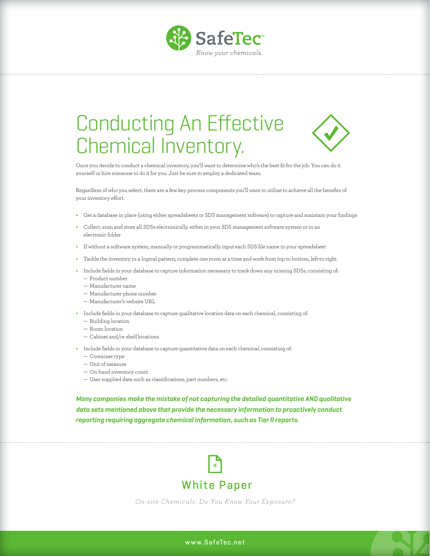

## Conducting An Effective Chemical Inventory.



Once you decide to conduct a chemical inventory, you'll want to determine who's the best fit for the job. You can do it yourself or hire someone to do it for you. Just be sure to employ a dedicated team.

Regardless of who you select, there are a few key process components you'll want to utilize to achieve all the benefits of your inventory effort.

- **•** Get a database in place (using either spreadsheets or SDS management software) to capture and maintain your findings
- **•** Collect, scan and store all SDSs electronically, either in your SDS management software system or in an electronic folder
- **•** If without a software system, manually or programmatically input each SDS file name in your spreadsheet
- **•** Tackle the inventory in a logical pattern; complete one room at a time and work from top-to bottom, left-to-right.
- **•** Include fields in your database to capture information necessary to track down any missing SDSs, consisting of: — Product number
	- Manufacturer name
	- Manufacturer phone number
	- Manufacturer's website URL
- **•** Include fields in your database to capture qualitative location data on each chemical, consisting of:
	- Building location
	- Room location
	- Cabinet and/or shelf locations
- **•** Include fields in your database to capture quantitative data on each chemical, consisting of:
	- Container type
	- Unit of measure
	- On-hand inventory count
	- User supplied data such as classifications, part numbers, etc.

**Many companies make the mistake of not capturing the detailed quantitative AND qualitative data sets mentioned above that provide the necessary information to proactively conduct reporting requiring aggregate chemical information, such as Tier II reports.** 



*On-site Chemical s: Do You Know Your Ex posure?*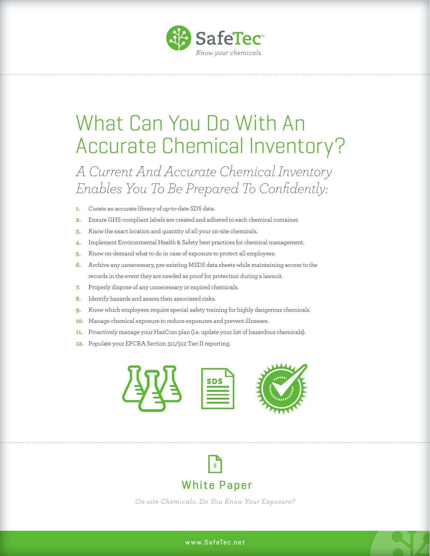

### What Can You Do With An Accurate Chemical Inventory?

### *A Current And Accurate Chemical Inventory Enables You To Be Prepared To Confidently:*

- **1.** Curate an accurate library of up-to-date SDS data.
- **2.** Ensure GHS-compliant labels are created and adhered to each chemical container.
- **3.** Know the exact location and quantity of all your on-site chemicals.
- **4.** Implement Environmental Health & Safety best practices for chemical management.
- **5.** Know on-demand what to do in case of exposure to protect all employees.
- **6.** Archive any unnecessary, pre-existing MSDS data sheets while maintaining access to the records in the event they are needed as proof for protection during a lawsuit.
- **7.** Properly dispose of any unnecessary or expired chemicals.
- **8.** Identify hazards and assess their associated risks.
- **9.** Know which employees require special safety training for highly dangerous chemicals.
- **10.** Manage chemical exposure to reduce exposures and prevent illnesses.
- **11.** Proactively manage your HazCom plan (i.e. update your list of hazardous chemicals).
- **12.** Populate your EPCRA Section 311/312 Tier II reporting.



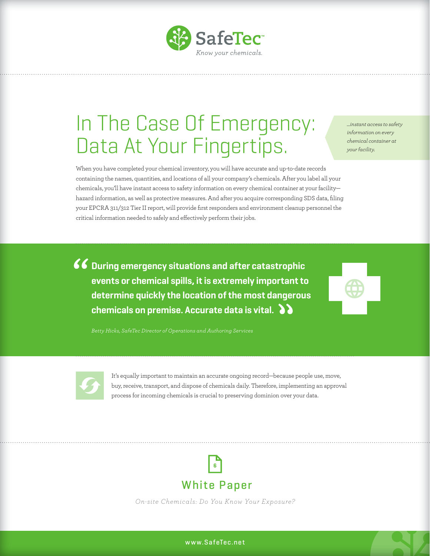

## In The Case Of Emergency: Data At Your Fingertips.

*…instant access to safety information on every chemical container at your facility.*

When you have completed your chemical inventory, you will have accurate and up-to-date records containing the names, quantities, and locations of all your company's chemicals. After you label all your chemicals, you'll have instant access to safety information on every chemical container at your facility hazard information, as well as protective measures. And after you acquire corresponding SDS data, filing your EPCRA 311/312 Tier II report, will provide first responders and environment cleanup personnel the critical information needed to safely and effectively perform their jobs.

**66** During emergency situations and after catastrophic **events or chemical spills, it is extremely important to determine quickly the location of the most dangerous chemicals on premise. Accurate data is vital.**

*Betty Hicks, SafeTec Director of Operations and Authoring Services* 



It's equally important to maintain an accurate ongoing record—because people use, move, buy, receive, transport, and dispose of chemicals daily. Therefore, implementing an approval process for incoming chemicals is crucial to preserving dominion over your data.



*On-site Chemical s: Do You Know Your Ex posure?*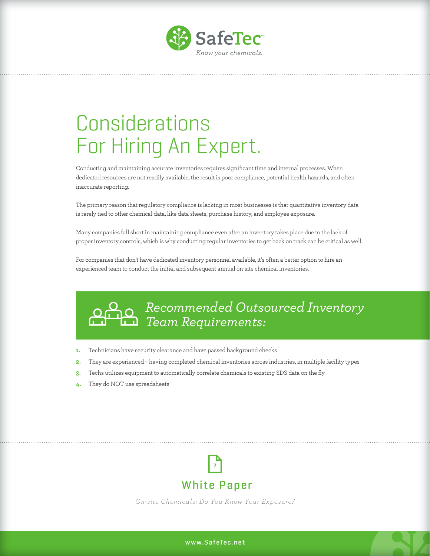

## Considerations For Hiring An Expert.

Conducting and maintaining accurate inventories requires significant time and internal processes. When dedicated resources are not readily available, the result is poor compliance, potential health hazards, and often inaccurate reporting.

The primary reason that regulatory compliance is lacking in most businesses is that quantitative inventory data is rarely tied to other chemical data, like data sheets, purchase history, and employee exposure.

Many companies fall short in maintaining compliance even after an inventory takes place due to the lack of proper inventory controls, which is why conducting regular inventories to get back on track can be critical as well.

For companies that don't have dedicated inventory personnel available, it's often a better option to hire an experienced team to conduct the initial and subsequent annual on-site chemical inventories.

### *Recommended Outsourced Inventory Team Requirements:*

- **1.** Technicians have security clearance and have passed background checks
- **2.** They are experienced having completed chemical inventories across industries, in multiple facility types
- **3.** Techs utilizes equipment to automatically correlate chemicals to existing SDS data on the fly
- **4.** They do NOT use spreadsheets



*On-site Chemical s: Do You Know Your Ex posure?*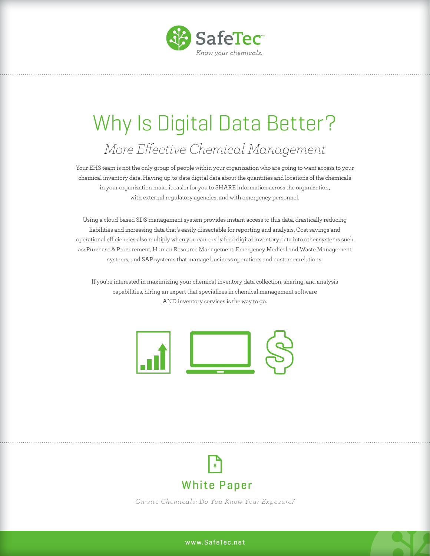

## Why Is Digital Data Better? *More Effective Chemical Management*

Your EHS team is not the only group of people within your organization who are going to want access to your chemical inventory data. Having up-to-date digital data about the quantities and locations of the chemicals in your organization make it easier for you to SHARE information across the organization, with external regulatory agencies, and with emergency personnel.

Using a cloud-based SDS management system provides instant access to this data, drastically reducing liabilities and increasing data that's easily dissectable for reporting and analysis. Cost savings and operational efficiencies also multiply when you can easily feed digital inventory data into other systems such as: Purchase & Procurement, Human Resource Management, Emergency Medical and Waste Management systems, and SAP systems that manage business operations and customer relations.

If you're interested in maximizing your chemical inventory data collection, sharing, and analysis capabilities, hiring an expert that specializes in chemical management software AND inventory services is the way to go.





*On-site Chemical s: Do You Know Your Ex posure?*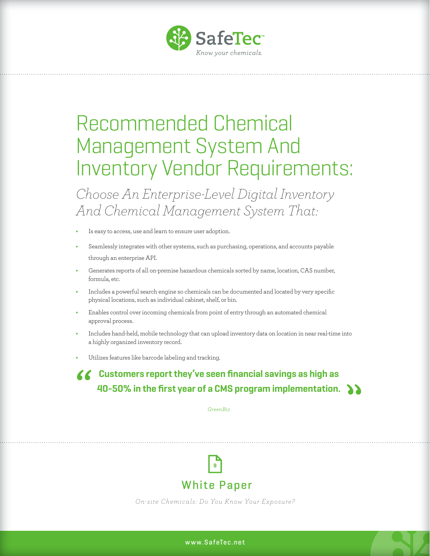

### Recommended Chemical Management System And Inventory Vendor Requirements:

*Choose An Enterprise-Level Digital Inventory And Chemical Management System That:* 

- **•** Is easy to access, use and learn to ensure user adoption.
- **•** Seamlessly integrates with other systems, such as purchasing, operations, and accounts payable through an enterprise API.
- **•** Generates reports of all on-premise hazardous chemicals sorted by name, location, CAS number, formula, etc.
- **•** Includes a powerful search engine so chemicals can be documented and located by very specific physical locations, such as individual cabinet, shelf, or bin.
- **•** Enables control over incoming chemicals from point of entry through an automated chemical approval process.
- **•** Includes hand-held, mobile technology that can upload inventory data on location in near real-time into a highly organized inventory record.
- **•** Utilizes features like barcode labeling and tracking.

#### **Customers report they've seen financial savings as high as 40-50% in the first year of a CMS program implementation.**

*GreenBiz*



*On-site Chemical s: Do You Know Your Ex posure?*